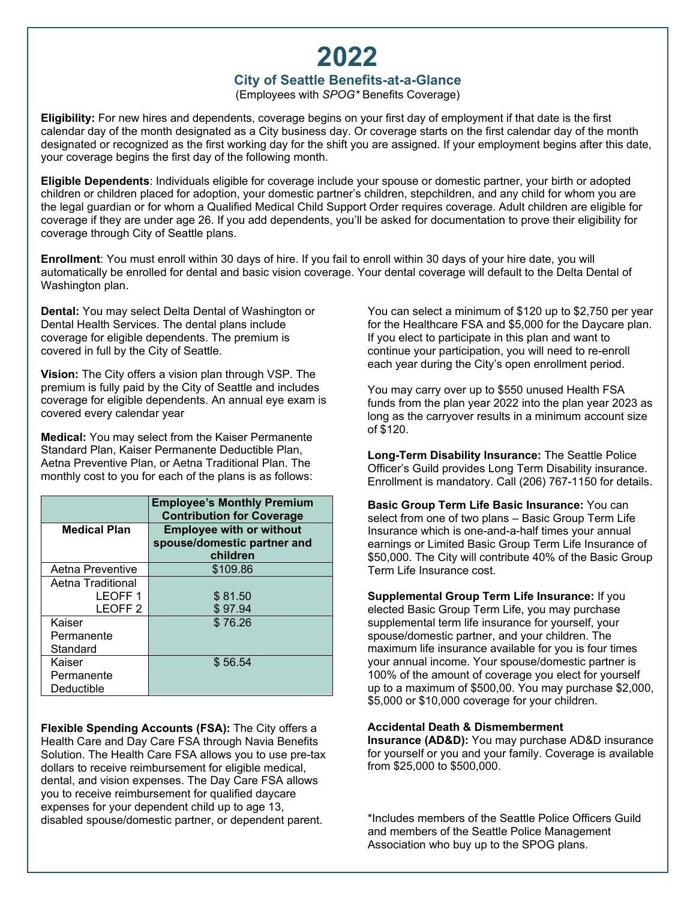# **2022**

# **City of Seattle Benefits-at-a-Glance**

(Employees with *SPOG\** Benefits Coverage)

**Eligibility:** For new hires and dependents, coverage begins on your first day of employment if that date is the first calendar day of the month designated as a City business day. Or coverage starts on the first calendar day of the month designated or recognized as the first working day for the shift you are assigned. If your employment begins after this date, your coverage begins the first day of the following month.

**Eligible Dependents**: Individuals eligible for coverage include your spouse or domestic partner, your birth or adopted children or children placed for adoption, your domestic partner's children, stepchildren, and any child for whom you are the legal guardian or for whom a Qualified Medical Child Support Order requires coverage. Adult children are eligible for coverage if they are under age 26. If you add dependents, you'll be asked for documentation to prove their eligibility for coverage through City of Seattle plans.

**Enrollment**: You must enroll within 30 days of hire. If you fail to enroll within 30 days of your hire date, you will automatically be enrolled for dental and basic vision coverage. Your dental coverage will default to the Delta Dental of Washington plan.

**Dental:** You may select Delta Dental of Washington or Dental Health Services. The dental plans include coverage for eligible dependents. The premium is covered in full by the City of Seattle.

**Vision:** The City offers a vision plan through VSP. The premium is fully paid by the City of Seattle and includes coverage for eligible dependents. An annual eye exam is covered every calendar year

**Medical:** You may select from the Kaiser Permanente Standard Plan, Kaiser Permanente Deductible Plan, Aetna Preventive Plan, or Aetna Traditional Plan. The monthly cost to you for each of the plans is as follows:

|                     | <b>Employee's Monthly Premium</b><br><b>Contribution for Coverage</b> |
|---------------------|-----------------------------------------------------------------------|
| <b>Medical Plan</b> | <b>Employee with or without</b><br>spouse/domestic partner and        |
|                     | children                                                              |
| Aetna Preventive    | \$109.86                                                              |
| Aetna Traditional   |                                                                       |
| <b>LEOFF1</b>       | \$81.50                                                               |
| LEOFF <sub>2</sub>  | \$97.94                                                               |
| Kaiser              | \$76.26                                                               |
| Permanente          |                                                                       |
| Standard            |                                                                       |
| Kaiser              | \$56.54                                                               |
| Permanente          |                                                                       |
| Deductible          |                                                                       |

**Flexible Spending Accounts (FSA):** The City offers a Health Care and Day Care FSA through Navia Benefits Solution. The Health Care FSA allows you to use pre-tax dollars to receive reimbursement for eligible medical, dental, and vision expenses. The Day Care FSA allows you to receive reimbursement for qualified daycare expenses for your dependent child up to age 13, disabled spouse/domestic partner, or dependent parent.

You can select a minimum of \$120 up to \$2,750 per year for the Healthcare FSA and \$5,000 for the Daycare plan. If you elect to participate in this plan and want to continue your participation, you will need to re-enroll each year during the City's open enrollment period.

You may carry over up to \$550 unused Health FSA funds from the plan year 2022 into the plan year 2023 as long as the carryover results in a minimum account size of \$120.

**Long-Term Disability Insurance:** The Seattle Police Officer's Guild provides Long Term Disability insurance. Enrollment is mandatory. Call (206) 767-1150 for details.

**Basic Group Term Life Basic Insurance:** You can select from one of two plans – Basic Group Term Life Insurance which is one-and-a-half times your annual earnings or Limited Basic Group Term Life Insurance of \$50,000. The City will contribute 40% of the Basic Group Term Life Insurance cost.

**Supplemental Group Term Life Insurance:** If you elected Basic Group Term Life, you may purchase supplemental term life insurance for yourself, your spouse/domestic partner, and your children. The maximum life insurance available for you is four times your annual income. Your spouse/domestic partner is 100% of the amount of coverage you elect for yourself up to a maximum of \$500,00. You may purchase \$2,000, \$5,000 or \$10,000 coverage for your children.

## **Accidental Death & Dismemberment**

**Insurance (AD&D):** You may purchase AD&D insurance for yourself or you and your family. Coverage is available from \$25,000 to \$500,000.

\*Includes members of the Seattle Police Officers Guild and members of the Seattle Police Management Association who buy up to the SPOG plans.